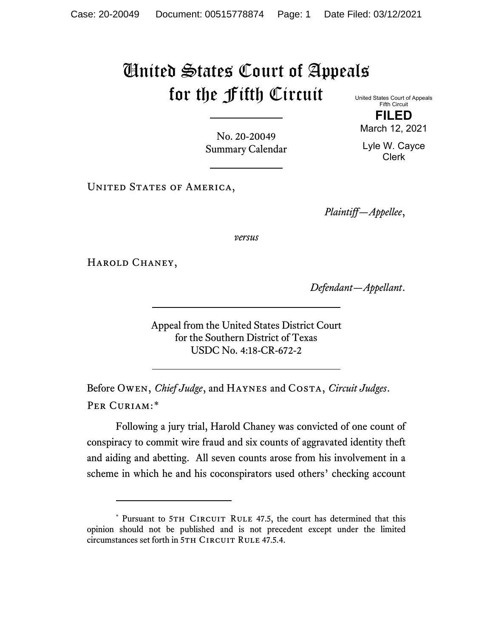## United States Court of Appeals for the Fifth Circuit United States Court of Appeals

Fifth Circuit **FILED**

No. 20-20049 Summary Calendar

UNITED STATES OF AMERICA,

*Plaintiff—Appellee*,

*versus*

HAROLD CHANEY,

*Defendant—Appellant*.

Appeal from the United States District Court for the Southern District of Texas USDC No. 4:18-CR-672-2

Before Owen, *Chief Judge*, and Haynes and Costa, *Circuit Judges*. Per Curiam:[\\*](#page-0-0)

Following a jury trial, Harold Chaney was convicted of one count of conspiracy to commit wire fraud and six counts of aggravated identity theft and aiding and abetting. All seven counts arose from his involvement in a scheme in which he and his coconspirators used others' checking account

March 12, 2021

Lyle W. Cayce Clerk

<span id="page-0-0"></span><sup>\*</sup> Pursuant to 5TH CIRCUIT RULE 47.5, the court has determined that this opinion should not be published and is not precedent except under the limited circumstances set forth in 5TH CIRCUIT RULE 47.5.4.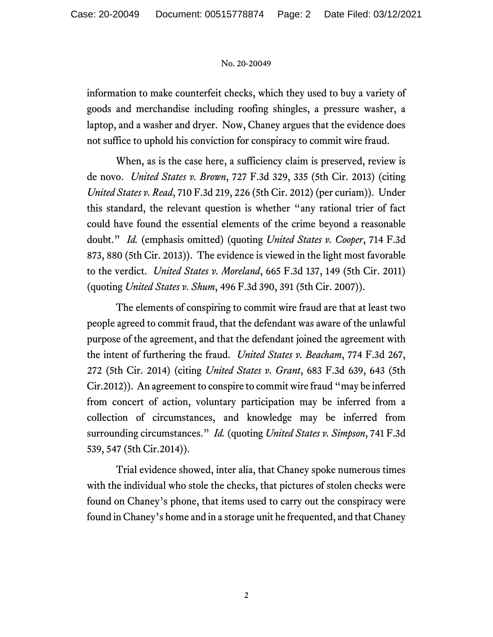## No. 20-20049

information to make counterfeit checks, which they used to buy a variety of goods and merchandise including roofing shingles, a pressure washer, a laptop, and a washer and dryer. Now, Chaney argues that the evidence does not suffice to uphold his conviction for conspiracy to commit wire fraud.

When, as is the case here, a sufficiency claim is preserved, review is de novo. *United States v. Brown*, 727 F.3d 329, 335 (5th Cir. 2013) (citing *United States v. Read*, 710 F.3d 219, 226 (5th Cir. 2012) (per curiam)). Under this standard, the relevant question is whether "any rational trier of fact could have found the essential elements of the crime beyond a reasonable doubt." *Id.* (emphasis omitted) (quoting *United States v. Cooper*, 714 F.3d 873, 880 (5th Cir. 2013)). The evidence is viewed in the light most favorable to the verdict. *United States v. Moreland*, 665 F.3d 137, 149 (5th Cir. 2011) (quoting *United States v. Shum*, 496 F.3d 390, 391 (5th Cir. 2007)).

The elements of conspiring to commit wire fraud are that at least two people agreed to commit fraud, that the defendant was aware of the unlawful purpose of the agreement, and that the defendant joined the agreement with the intent of furthering the fraud. *United States v. Beacham*, 774 F.3d 267, 272 (5th Cir. 2014) (citing *United States v. Grant*, 683 F.3d 639, 643 (5th Cir.2012)). An agreement to conspire to commit wire fraud "may be inferred from concert of action, voluntary participation may be inferred from a collection of circumstances, and knowledge may be inferred from surrounding circumstances." *Id.* (quoting *United States v. Simpson*, 741 F.3d 539, 547 (5th Cir.2014)).

Trial evidence showed, inter alia, that Chaney spoke numerous times with the individual who stole the checks, that pictures of stolen checks were found on Chaney's phone, that items used to carry out the conspiracy were found in Chaney's home and in a storage unit he frequented, and that Chaney